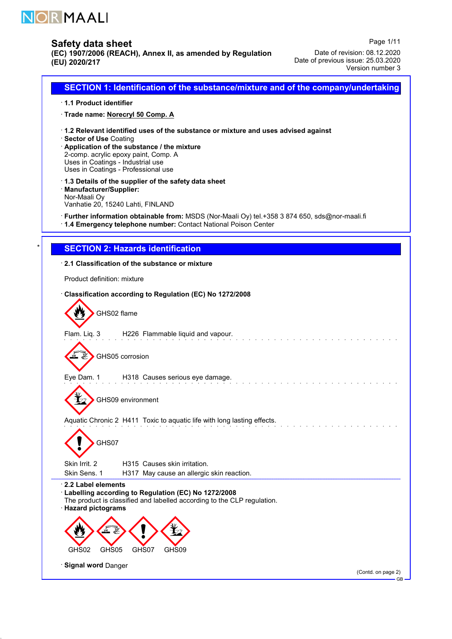

# Safety data sheet

(EC) 1907/2006 (REACH), Annex II, as amended by Regulation (EU) 2020/217

Page 1/11 Date of revision: 08.12.2020 Date of previous issue: 25.03.2020 Version number 3

SECTION 1: Identification of the substance/mixture and of the company/undertaking · 1.1 Product identifier · Trade name: Norecryl 50 Comp. A · 1.2 Relevant identified uses of the substance or mixture and uses advised against · Sector of Use Coating · Application of the substance / the mixture 2-comp. acrylic epoxy paint, Comp. A Uses in Coatings - Industrial use Uses in Coatings - Professional use · 1.3 Details of the supplier of the safety data sheet · Manufacturer/Supplier: Nor-Maali Oy Vanhatie 20, 15240 Lahti, FINLAND · Further information obtainable from: MSDS (Nor-Maali Oy) tel.+358 3 874 650, sds@nor-maali.fi · 1.4 Emergency telephone number: Contact National Poison Center **SECTION 2: Hazards identification** · 2.1 Classification of the substance or mixture Product definition: mixture · Classification according to Regulation (EC) No 1272/2008 GHS02 flame Flam. Liq. 3 H226 Flammable liquid and vapour. 飞 GHS05 corrosion Eye Dam. 1 H318 Causes serious eye damage. GHS09 environment Aquatic Chronic 2 H411 Toxic to aquatic life with long lasting effects. GHS07 Skin Irrit. 2 H315 Causes skin irritation. Skin Sens. 1 H317 May cause an allergic skin reaction. · 2.2 Label elements · Labelling according to Regulation (EC) No 1272/2008 The product is classified and labelled according to the CLP regulation. · Hazard pictograms GHS02 GHS05 GHS07 GHS09 · Signal word Danger (Contd. on page 2)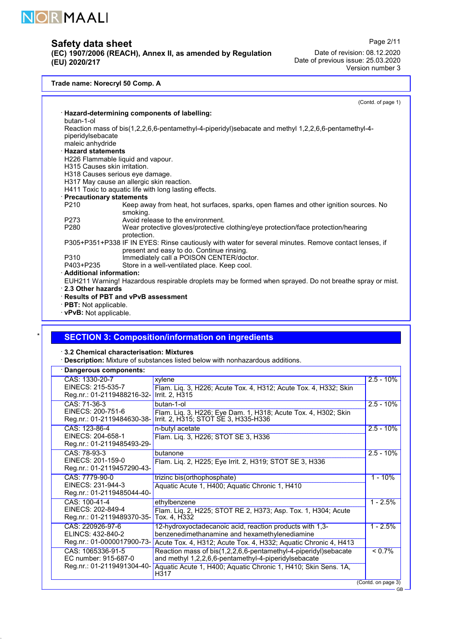

(EC) 1907/2006 (REACH), Annex II, as amended by Regulation (EU) 2020/217

Page 2/11 Date of revision: 08.12.2020 Date of previous issue: 25.03.2020 Version number 3

### Trade name: Norecryl 50 Comp. A

(Contd. of page 1)

|                                                                                                         | · Hazard-determining components of labelling:                                                         |  |  |  |  |
|---------------------------------------------------------------------------------------------------------|-------------------------------------------------------------------------------------------------------|--|--|--|--|
| butan-1-ol                                                                                              |                                                                                                       |  |  |  |  |
|                                                                                                         | Reaction mass of bis(1,2,2,6,6-pentamethyl-4-piperidyl)sebacate and methyl 1,2,2,6,6-pentamethyl-4-   |  |  |  |  |
| piperidylsebacate                                                                                       |                                                                                                       |  |  |  |  |
| maleic anhydride                                                                                        |                                                                                                       |  |  |  |  |
| <b>Hazard statements</b>                                                                                |                                                                                                       |  |  |  |  |
|                                                                                                         | H226 Flammable liquid and vapour.                                                                     |  |  |  |  |
| <b>H315 Causes skin irritation.</b>                                                                     |                                                                                                       |  |  |  |  |
|                                                                                                         | H318 Causes serious eye damage.                                                                       |  |  |  |  |
|                                                                                                         | H317 May cause an allergic skin reaction.                                                             |  |  |  |  |
|                                                                                                         | H411 Toxic to aquatic life with long lasting effects.                                                 |  |  |  |  |
| · Precautionary statements                                                                              |                                                                                                       |  |  |  |  |
| P <sub>210</sub>                                                                                        | Keep away from heat, hot surfaces, sparks, open flames and other ignition sources. No                 |  |  |  |  |
|                                                                                                         | smoking.                                                                                              |  |  |  |  |
| P273                                                                                                    | Avoid release to the environment.                                                                     |  |  |  |  |
| P280                                                                                                    | Wear protective gloves/protective clothing/eye protection/face protection/hearing                     |  |  |  |  |
|                                                                                                         | protection.                                                                                           |  |  |  |  |
|                                                                                                         | P305+P351+P338 IF IN EYES: Rinse cautiously with water for several minutes. Remove contact lenses, if |  |  |  |  |
|                                                                                                         | present and easy to do. Continue rinsing.                                                             |  |  |  |  |
|                                                                                                         | Immediately call a POISON CENTER/doctor.<br>P310                                                      |  |  |  |  |
|                                                                                                         | P403+P235<br>Store in a well-ventilated place. Keep cool.                                             |  |  |  |  |
| <b>Additional information:</b>                                                                          |                                                                                                       |  |  |  |  |
| EUH211 Warning! Hazardous respirable droplets may be formed when sprayed. Do not breathe spray or mist. |                                                                                                       |  |  |  |  |
| 2.3 Other hazards                                                                                       |                                                                                                       |  |  |  |  |
|                                                                                                         | <b>Results of PBT and vPvB assessment</b>                                                             |  |  |  |  |
| <b>PBT:</b> Not applicable.                                                                             |                                                                                                       |  |  |  |  |
|                                                                                                         | vPvB: Not applicable.                                                                                 |  |  |  |  |
|                                                                                                         |                                                                                                       |  |  |  |  |

## **SECTION 3: Composition/information on ingredients**

· 3.2 Chemical characterisation: Mixtures

52.0.1

· Description: Mixture of substances listed below with nonhazardous additions.

| xylene<br>Flam. Liq. 3, H226; Acute Tox. 4, H312; Acute Tox. 4, H332; Skin<br>Irrit. 2, H315                                                                                                      | $2.5 - 10\%$ |
|---------------------------------------------------------------------------------------------------------------------------------------------------------------------------------------------------|--------------|
| butan-1-ol<br>Flam. Liq. 3, H226; Eye Dam. 1, H318; Acute Tox. 4, H302; Skin<br>Irrit. 2, H315; STOT SE 3, H335-H336                                                                              | $2.5 - 10%$  |
| n-butyl acetate<br>Flam. Lig. 3, H226; STOT SE 3, H336                                                                                                                                            | $2.5 - 10%$  |
| butanone<br>Flam. Liq. 2, H225; Eye Irrit. 2, H319; STOT SE 3, H336                                                                                                                               | $2.5 - 10\%$ |
| trizinc bis(orthophosphate)<br>Aquatic Acute 1, H400; Aquatic Chronic 1, H410                                                                                                                     | $1 - 10%$    |
| ethylbenzene<br>Flam. Liq. 2, H225; STOT RE 2, H373; Asp. Tox. 1, H304; Acute<br>Tox. 4, H332                                                                                                     | $1 - 2.5%$   |
| 12-hydroxyoctadecanoic acid, reaction products with 1,3-<br>benzenedimethanamine and hexamethylenediamine<br>Acute Tox. 4, H312; Acute Tox. 4, H332; Aquatic Chronic 4, H413                      | $1 - 2.5%$   |
| Reaction mass of bis(1,2,2,6,6-pentamethyl-4-piperidyl)sebacate<br>and methyl 1,2,2,6,6-pentamethyl-4-piperidylsebacate<br>Aquatic Acute 1, H400; Aquatic Chronic 1, H410; Skin Sens. 1A,<br>H317 | $< 0.7\%$    |
|                                                                                                                                                                                                   |              |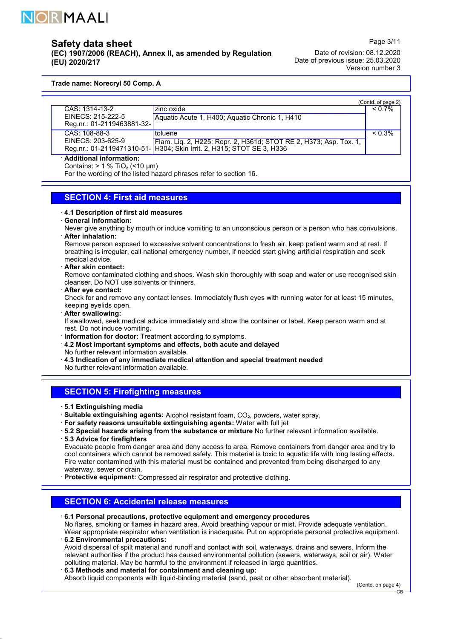

(EC) 1907/2006 (REACH), Annex II, as amended by Regulation (EU) 2020/217

Page 3/11 Date of revision: 08.12.2020 Date of previous issue: 25.03.2020 Version number 3

Trade name: Norecryl 50 Comp. A

|                            |                                                                       | (Contd. of page 2) |
|----------------------------|-----------------------------------------------------------------------|--------------------|
| CAS: 1314-13-2             | zinc oxide                                                            | $< 0.7\%$          |
| EINECS: 215-222-5          | Aquatic Acute 1, H400; Aquatic Chronic 1, H410                        |                    |
| Reg.nr.: 01-2119463881-32- |                                                                       |                    |
| CAS: 108-88-3              | toluene                                                               | $< 0.3\%$          |
| EINECS: 203-625-9          | Flam. Liq. 2, H225; Repr. 2, H361d; STOT RE 2, H373; Asp. Tox. 1,     |                    |
|                            | Reg.nr.: 01-2119471310-51- H304; Skin Irrit. 2, H315; STOT SE 3, H336 |                    |
|                            |                                                                       |                    |

· Additional information:

Contains:  $> 1 %$  TiO<sub>2</sub> (<10 µm)

For the wording of the listed hazard phrases refer to section 16.

## SECTION 4: First aid measures

### · 4.1 Description of first aid measures

· General information:

Never give anything by mouth or induce vomiting to an unconscious person or a person who has convulsions. · After inhalation:

Remove person exposed to excessive solvent concentrations to fresh air, keep patient warm and at rest. If breathing is irregular, call national emergency number, if needed start giving artificial respiration and seek medical advice.

· After skin contact:

Remove contaminated clothing and shoes. Wash skin thoroughly with soap and water or use recognised skin cleanser. Do NOT use solvents or thinners.

· After eye contact:

Check for and remove any contact lenses. Immediately flush eyes with running water for at least 15 minutes, keeping eyelids open.

· After swallowing:

If swallowed, seek medical advice immediately and show the container or label. Keep person warm and at rest. Do not induce vomiting.

· Information for doctor: Treatment according to symptoms.

· 4.2 Most important symptoms and effects, both acute and delayed

No further relevant information available.

- · 4.3 Indication of any immediate medical attention and special treatment needed
- No further relevant information available.

### SECTION 5: Firefighting measures

· 5.1 Extinguishing media

52.0.1

- · Suitable extinguishing agents: Alcohol resistant foam, CO₂, powders, water spray.
- · For safety reasons unsuitable extinguishing agents: Water with full jet
- · 5.2 Special hazards arising from the substance or mixture No further relevant information available. · 5.3 Advice for firefighters
- Evacuate people from danger area and deny access to area. Remove containers from danger area and try to cool containers which cannot be removed safely. This material is toxic to aquatic life with long lasting effects. Fire water contamined with this material must be contained and prevented from being discharged to any waterway, sewer or drain.

· Protective equipment: Compressed air respirator and protective clothing.

# SECTION 6: Accidental release measures

· 6.1 Personal precautions, protective equipment and emergency procedures

No flares, smoking or flames in hazard area. Avoid breathing vapour or mist. Provide adequate ventilation. Wear appropriate respirator when ventilation is inadequate. Put on appropriate personal protective equipment. · 6.2 Environmental precautions:

Avoid dispersal of spilt material and runoff and contact with soil, waterways, drains and sewers. Inform the relevant authorities if the product has caused environmental pollution (sewers, waterways, soil or air). Water polluting material. May be harmful to the environment if released in large quantities.

#### · 6.3 Methods and material for containment and cleaning up:

Absorb liquid components with liquid-binding material (sand, peat or other absorbent material).

(Contd. on page 4)

GB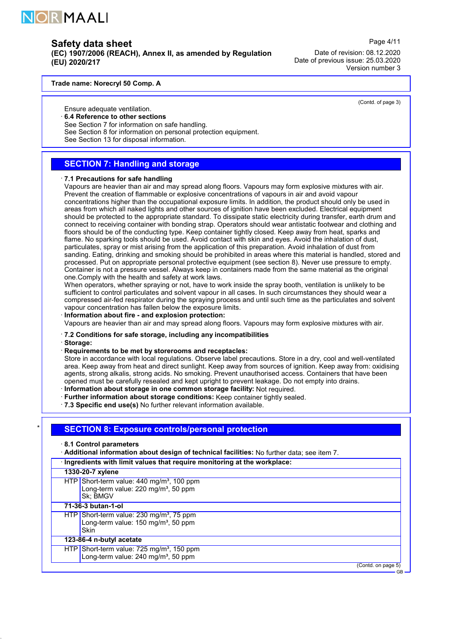

(EC) 1907/2006 (REACH), Annex II, as amended by Regulation (EU) 2020/217

Date of revision: 08.12.2020 Date of previous issue: 25.03.2020 Version number 3

Page 4/11

(Contd. of page 3)

#### Trade name: Norecryl 50 Comp. A

Ensure adequate ventilation.

### 6.4 Reference to other sections

- See Section 7 for information on safe handling.
- See Section 8 for information on personal protection equipment.
- See Section 13 for disposal information.

### SECTION 7: Handling and storage

#### · 7.1 Precautions for safe handling

Vapours are heavier than air and may spread along floors. Vapours may form explosive mixtures with air. Prevent the creation of flammable or explosive concentrations of vapours in air and avoid vapour concentrations higher than the occupational exposure limits. In addition, the product should only be used in areas from which all naked lights and other sources of ignition have been excluded. Electrical equipment should be protected to the appropriate standard. To dissipate static electricity during transfer, earth drum and connect to receiving container with bonding strap. Operators should wear antistatic footwear and clothing and floors should be of the conducting type. Keep container tightly closed. Keep away from heat, sparks and flame. No sparking tools should be used. Avoid contact with skin and eyes. Avoid the inhalation of dust, particulates, spray or mist arising from the application of this preparation. Avoid inhalation of dust from sanding. Eating, drinking and smoking should be prohibited in areas where this material is handled, stored and processed. Put on appropriate personal protective equipment (see section 8). Never use pressure to empty. Container is not a pressure vessel. Always keep in containers made from the same material as the original one.Comply with the health and safety at work laws.

When operators, whether spraying or not, have to work inside the spray booth, ventilation is unlikely to be sufficient to control particulates and solvent vapour in all cases. In such circumstances they should wear a compressed air-fed respirator during the spraying process and until such time as the particulates and solvent vapour concentration has fallen below the exposure limits.

### Information about fire - and explosion protection:

Vapours are heavier than air and may spread along floors. Vapours may form explosive mixtures with air.

#### · 7.2 Conditions for safe storage, including any incompatibilities

· Storage:

#### · Requirements to be met by storerooms and receptacles:

Store in accordance with local regulations. Observe label precautions. Store in a dry, cool and well-ventilated area. Keep away from heat and direct sunlight. Keep away from sources of ignition. Keep away from: oxidising agents, strong alkalis, strong acids. No smoking. Prevent unauthorised access. Containers that have been opened must be carefully resealed and kept upright to prevent leakage. Do not empty into drains. · Information about storage in one common storage facility: Not required.

· Further information about storage conditions: Keep container tightly sealed.

· 7.3 Specific end use(s) No further relevant information available.

### **SECTION 8: Exposure controls/personal protection**

· 8.1 Control parameters

· Additional information about design of technical facilities: No further data; see item 7.

### · Ingredients with limit values that require monitoring at the workplace:

### 1330-20-7 xylene

HTP Short-term value: 440 mg/m<sup>3</sup>, 100 ppm Long-term value:  $220 \text{ mg/m}^3$ , 50 ppm Sk; BMGV

71-36-3 butan-1-ol

52.0.1

- HTP Short-term value: 230 mg/m<sup>3</sup>, 75 ppm Long-term value:  $150 \text{ mg/m}^3$ , 50 ppm
- **Skin**

# 123-86-4 n-butyl acetate

- HTP Short-term value: 725 mg/m<sup>3</sup>, 150 ppm Long-term value:  $240 \text{ ma/m}^3$ , 50 ppm
	-

(Contd. on page 5)

GB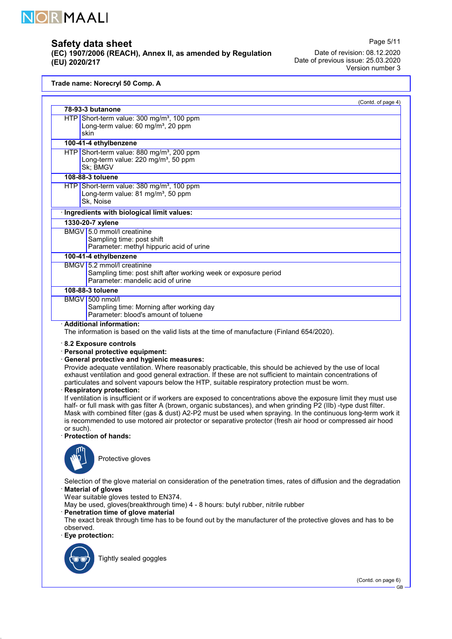

(EC) 1907/2006 (REACH), Annex II, as amended by Regulation (EU) 2020/217

Page 5/11 Date of revision: 08.12.2020 Date of previous issue: 25.03.2020 Version number 3

### Trade name: Norecryl 50 Comp. A

|                                                                                                                                    | (Contd. of page 4) |
|------------------------------------------------------------------------------------------------------------------------------------|--------------------|
| 78-93-3 butanone                                                                                                                   |                    |
| $HTP$ Short-term value: 300 mg/m <sup>3</sup> , 100 ppm<br>Long-term value: 60 mg/m <sup>3</sup> , 20 ppm<br>skin                  |                    |
| 100-41-4 ethylbenzene                                                                                                              |                    |
| HTP Short-term value: 880 mg/m <sup>3</sup> , 200 ppm<br>Long-term value: 220 mg/m <sup>3</sup> , 50 ppm<br>Sk; BMGV               |                    |
| 108-88-3 toluene                                                                                                                   |                    |
| $HTP$ Short-term value: 380 mg/m <sup>3</sup> , 100 ppm<br>Long-term value: 81 mg/m <sup>3</sup> , 50 ppm<br>Sk, Noise             |                    |
| · Ingredients with biological limit values:                                                                                        |                    |
| 1330-20-7 xylene                                                                                                                   |                    |
| BMGV 5.0 mmol/l creatinine<br>Sampling time: post shift<br>Parameter: methyl hippuric acid of urine                                |                    |
| 100-41-4 ethylbenzene                                                                                                              |                    |
| BMGV 5.2 mmol/l creatinine<br>Sampling time: post shift after working week or exposure period<br>Parameter: mandelic acid of urine |                    |
| 108-88-3 toluene                                                                                                                   |                    |
| BMGV 500 nmol/l<br>Sampling time: Morning after working day<br>Parameter: blood's amount of toluene                                |                    |
| · Additional information:<br>The information is based on the valid lists at the time of manufacture (Finland 654/2020).            |                    |

#### · Personal protective equipment:

#### · General protective and hygienic measures:

Provide adequate ventilation. Where reasonably practicable, this should be achieved by the use of local exhaust ventilation and good general extraction. If these are not sufficient to maintain concentrations of particulates and solvent vapours below the HTP, suitable respiratory protection must be worn.

#### · Respiratory protection:

If ventilation is insufficient or if workers are exposed to concentrations above the exposure limit they must use half- or full mask with gas filter A (brown, organic substances), and when grinding P2 (IIb) -type dust filter. Mask with combined filter (gas & dust) A2-P2 must be used when spraying. In the continuous long-term work it is recommended to use motored air protector or separative protector (fresh air hood or compressed air hood or such).

### · Protection of hands:



Protective gloves

Selection of the glove material on consideration of the penetration times, rates of diffusion and the degradation · Material of gloves

Wear suitable gloves tested to EN374.

May be used, gloves(breakthrough time) 4 - 8 hours: butyl rubber, nitrile rubber

· Penetration time of glove material

The exact break through time has to be found out by the manufacturer of the protective gloves and has to be observed.

· Eye protection:



52.0.1

Tightly sealed goggles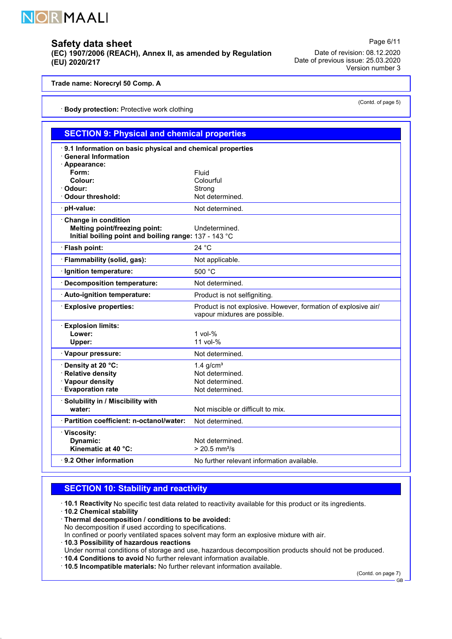

(EC) 1907/2006 (REACH), Annex II, as amended by Regulation (EU) 2020/217

Date of revision: 08.12.2020 Date of previous issue: 25.03.2020 Version number 3

### Trade name: Norecryl 50 Comp. A

· Body protection: Protective work clothing

| <b>SECTION 9: Physical and chemical properties</b>                                                                   |                                                                                                 |  |  |
|----------------------------------------------------------------------------------------------------------------------|-------------------------------------------------------------------------------------------------|--|--|
| 9.1 Information on basic physical and chemical properties<br><b>General Information</b><br>· Appearance:             |                                                                                                 |  |  |
| Form:<br>Colour:<br>· Odour:                                                                                         | Fluid<br>Colourful<br>Strong                                                                    |  |  |
| <b>○ Odour threshold:</b><br>pH-value:                                                                               | Not determined.<br>Not determined.                                                              |  |  |
| Change in condition<br><b>Melting point/freezing point:</b><br>Initial boiling point and boiling range: 137 - 143 °C | Undetermined.                                                                                   |  |  |
| · Flash point:                                                                                                       | 24 °C                                                                                           |  |  |
| · Flammability (solid, gas):                                                                                         | Not applicable.                                                                                 |  |  |
| Ignition temperature:                                                                                                | 500 °C                                                                                          |  |  |
| <b>Decomposition temperature:</b>                                                                                    | Not determined.                                                                                 |  |  |
| Auto-ignition temperature:                                                                                           | Product is not selfigniting.                                                                    |  |  |
| <b>Explosive properties:</b>                                                                                         | Product is not explosive. However, formation of explosive air/<br>vapour mixtures are possible. |  |  |
| <b>Explosion limits:</b><br>Lower:<br>Upper:                                                                         | $1$ vol- $%$<br>11 vol-%                                                                        |  |  |
| · Vapour pressure:                                                                                                   | Not determined.                                                                                 |  |  |
| Density at 20 °C:<br><b>Relative density</b><br>· Vapour density<br><b>Evaporation rate</b>                          | 1.4 $g/cm3$<br>Not determined.<br>Not determined.<br>Not determined.                            |  |  |
| Solubility in / Miscibility with<br>water:                                                                           | Not miscible or difficult to mix.                                                               |  |  |
| · Partition coefficient: n-octanol/water:                                                                            | Not determined.                                                                                 |  |  |
| · Viscosity:<br>Dynamic:<br>Kinematic at 40 °C:                                                                      | Not determined.<br>$> 20.5$ mm <sup>2</sup> /s                                                  |  |  |
| 9.2 Other information                                                                                                | No further relevant information available.                                                      |  |  |

# SECTION 10: Stability and reactivity

· 10.1 Reactivity No specific test data related to reactivity available for this product or its ingredients.

· 10.2 Chemical stability

52.0.1

· Thermal decomposition / conditions to be avoided:

No decomposition if used according to specifications.

In confined or poorly ventilated spaces solvent may form an explosive mixture with air.

- · 10.3 Possibility of hazardous reactions
- Under normal conditions of storage and use, hazardous decomposition products should not be produced.
- · 10.4 Conditions to avoid No further relevant information available.

· 10.5 Incompatible materials: No further relevant information available.

(Contd. on page 7)

GB

Page 6/11

(Contd. of page 5)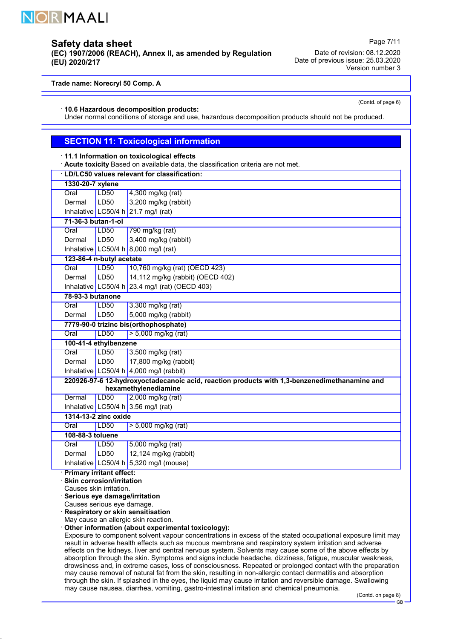

# Safety data sheet

(EC) 1907/2006 (REACH), Annex II, as amended by Regulation (EU) 2020/217

Date of revision: 08.12.2020 Date of previous issue: 25.03.2020 Version number 3

Page 7/11

(Contd. of page 6)

### Trade name: Norecryl 50 Comp. A

· 10.6 Hazardous decomposition products:

Under normal conditions of storage and use, hazardous decomposition products should not be produced.

# **SECTION 11: Toxicological information**

|  |  |  |  | $\cdot$ 11.1 Information on toxicological effects |  |
|--|--|--|--|---------------------------------------------------|--|
|--|--|--|--|---------------------------------------------------|--|

· Acute toxicity Based on available data, the classification criteria are not met.

|                                  | · LD/LC50 values relevant for classification:                                                                                                                                                                       |                                                                                                                                                                                                                           |  |  |  |
|----------------------------------|---------------------------------------------------------------------------------------------------------------------------------------------------------------------------------------------------------------------|---------------------------------------------------------------------------------------------------------------------------------------------------------------------------------------------------------------------------|--|--|--|
|                                  | 1330-20-7 xylene                                                                                                                                                                                                    |                                                                                                                                                                                                                           |  |  |  |
| Oral                             | LD50                                                                                                                                                                                                                | 4,300 mg/kg (rat)                                                                                                                                                                                                         |  |  |  |
| Dermal                           | LD50                                                                                                                                                                                                                | 3,200 mg/kg (rabbit)                                                                                                                                                                                                      |  |  |  |
|                                  |                                                                                                                                                                                                                     | Inhalative LC50/4 h $21.7$ mg/l (rat)                                                                                                                                                                                     |  |  |  |
| 71-36-3 butan-1-ol               |                                                                                                                                                                                                                     |                                                                                                                                                                                                                           |  |  |  |
| Oral                             | LD50                                                                                                                                                                                                                | 790 mg/kg (rat)                                                                                                                                                                                                           |  |  |  |
| Dermal                           | LD <sub>50</sub>                                                                                                                                                                                                    | 3,400 mg/kg (rabbit)                                                                                                                                                                                                      |  |  |  |
|                                  |                                                                                                                                                                                                                     | Inhalative LC50/4 h $8,000$ mg/l (rat)                                                                                                                                                                                    |  |  |  |
| 123-86-4 n-butyl acetate         |                                                                                                                                                                                                                     |                                                                                                                                                                                                                           |  |  |  |
| Oral                             | LD50                                                                                                                                                                                                                | 10,760 mg/kg (rat) (OECD 423)                                                                                                                                                                                             |  |  |  |
| Dermal                           | LD50                                                                                                                                                                                                                | 14,112 mg/kg (rabbit) (OECD 402)                                                                                                                                                                                          |  |  |  |
|                                  |                                                                                                                                                                                                                     | Inhalative LC50/4 h $23.4$ mg/l (rat) (OECD 403)                                                                                                                                                                          |  |  |  |
| 78-93-3 butanone                 |                                                                                                                                                                                                                     |                                                                                                                                                                                                                           |  |  |  |
| Oral                             | <b>LD50</b>                                                                                                                                                                                                         | 3,300 mg/kg (rat)                                                                                                                                                                                                         |  |  |  |
| Dermal                           | LD50                                                                                                                                                                                                                | 5,000 mg/kg (rabbit)                                                                                                                                                                                                      |  |  |  |
|                                  |                                                                                                                                                                                                                     | 7779-90-0 trizinc bis(orthophosphate)                                                                                                                                                                                     |  |  |  |
| Oral                             | <b>LD50</b>                                                                                                                                                                                                         | $> 5,000$ mg/kg (rat)                                                                                                                                                                                                     |  |  |  |
| 100-41-4 ethylbenzene            |                                                                                                                                                                                                                     |                                                                                                                                                                                                                           |  |  |  |
| Oral                             | LD50                                                                                                                                                                                                                | 3,500 mg/kg (rat)                                                                                                                                                                                                         |  |  |  |
| Dermal                           | LD50                                                                                                                                                                                                                | 17,800 mg/kg (rabbit)                                                                                                                                                                                                     |  |  |  |
|                                  |                                                                                                                                                                                                                     | Inhalative LC50/4 h $\vert$ 4,000 mg/l (rabbit)                                                                                                                                                                           |  |  |  |
|                                  |                                                                                                                                                                                                                     | 220926-97-6 12-hydroxyoctadecanoic acid, reaction products with 1,3-benzenedimethanamine and                                                                                                                              |  |  |  |
|                                  |                                                                                                                                                                                                                     | hexamethylenediamine                                                                                                                                                                                                      |  |  |  |
| Dermal                           | <b>LD50</b>                                                                                                                                                                                                         | 2,000 mg/kg (rat)                                                                                                                                                                                                         |  |  |  |
|                                  |                                                                                                                                                                                                                     | Inhalative LC50/4 h 3.56 mg/l (rat)                                                                                                                                                                                       |  |  |  |
| 1314-13-2 zinc oxide             |                                                                                                                                                                                                                     |                                                                                                                                                                                                                           |  |  |  |
| Oral                             | LD50                                                                                                                                                                                                                | $> 5,000$ mg/kg (rat)                                                                                                                                                                                                     |  |  |  |
| 108-88-3 toluene                 |                                                                                                                                                                                                                     |                                                                                                                                                                                                                           |  |  |  |
| Oral                             | LD50                                                                                                                                                                                                                | 5,000 mg/kg (rat)                                                                                                                                                                                                         |  |  |  |
| Dermal                           | LD50                                                                                                                                                                                                                | 12,124 mg/kg (rabbit)                                                                                                                                                                                                     |  |  |  |
|                                  |                                                                                                                                                                                                                     | Inhalative LC50/4 h $5,320$ mg/l (mouse)                                                                                                                                                                                  |  |  |  |
|                                  | · Primary irritant effect:                                                                                                                                                                                          |                                                                                                                                                                                                                           |  |  |  |
| <b>Skin corrosion/irritation</b> |                                                                                                                                                                                                                     |                                                                                                                                                                                                                           |  |  |  |
|                                  | Causes skin irritation.<br>Serious eye damage/irritation                                                                                                                                                            |                                                                                                                                                                                                                           |  |  |  |
| Causes serious eye damage.       |                                                                                                                                                                                                                     |                                                                                                                                                                                                                           |  |  |  |
|                                  | Respiratory or skin sensitisation                                                                                                                                                                                   |                                                                                                                                                                                                                           |  |  |  |
|                                  | May cause an allergic skin reaction.                                                                                                                                                                                |                                                                                                                                                                                                                           |  |  |  |
|                                  | Other information (about experimental toxicology):                                                                                                                                                                  |                                                                                                                                                                                                                           |  |  |  |
|                                  | Exposure to component solvent vapour concentrations in excess of the stated occupational exposure limit may                                                                                                         |                                                                                                                                                                                                                           |  |  |  |
|                                  | result in adverse health effects such as mucous membrane and respiratory system irritation and adverse<br>effects on the kidneys, liver and central nervous system. Solvents may cause some of the above effects by |                                                                                                                                                                                                                           |  |  |  |
|                                  | absorption through the skin. Symptoms and signs include headache, dizziness, fatigue, muscular weakness,                                                                                                            |                                                                                                                                                                                                                           |  |  |  |
|                                  | drowsiness and, in extreme cases, loss of consciousness. Repeated or prolonged contact with the preparation                                                                                                         |                                                                                                                                                                                                                           |  |  |  |
|                                  |                                                                                                                                                                                                                     | may cause removal of natural fat from the skin, resulting in non-allergic contact dermatitis and absorption<br>through the skin If splashed in the eves the liquid may cause irritation and reversible damage. Swallowing |  |  |  |

through the skin. If splashed in the eyes, the liquid may cause irritation and reversible damage. Swallowing may cause nausea, diarrhea, vomiting, gastro-intestinal irritation and chemical pneumonia.

<sup>(</sup>Contd. on page 8)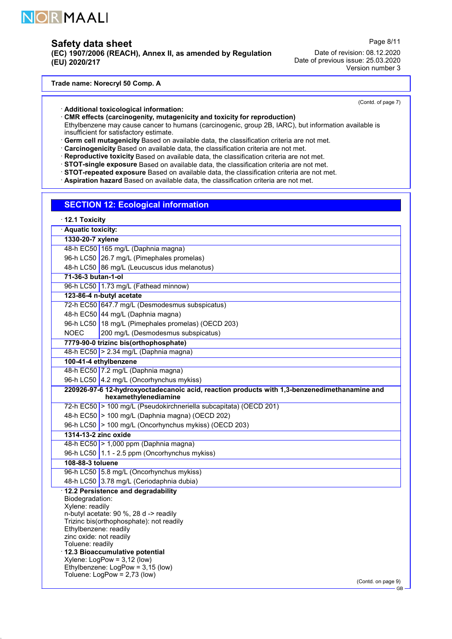

# Safety data sheet

(EC) 1907/2006 (REACH), Annex II, as amended by Regulation (EU) 2020/217

Page 8/11

Date of revision: 08.12.2020 Date of previous issue: 25.03.2020 Version number 3

Trade name: Norecryl 50 Comp. A

(Contd. of page 7)

### · Additional toxicological information:

· CMR effects (carcinogenity, mutagenicity and toxicity for reproduction) Ethylbenzene may cause cancer to humans (carcinogenic, group 2B, IARC), but information available is insufficient for satisfactory estimate.

· Germ cell mutagenicity Based on available data, the classification criteria are not met.

· Carcinogenicity Based on available data, the classification criteria are not met.

· Reproductive toxicity Based on available data, the classification criteria are not met.

· STOT-single exposure Based on available data, the classification criteria are not met.

· STOT-repeated exposure Based on available data, the classification criteria are not met.

· Aspiration hazard Based on available data, the classification criteria are not met.

### SECTION 12: Ecological information

|                                                        | 12.1 Toxicity                                                                                                                                                                                                                                                                                                                                 |  |  |
|--------------------------------------------------------|-----------------------------------------------------------------------------------------------------------------------------------------------------------------------------------------------------------------------------------------------------------------------------------------------------------------------------------------------|--|--|
|                                                        | · Aquatic toxicity:                                                                                                                                                                                                                                                                                                                           |  |  |
| 1330-20-7 xylene                                       |                                                                                                                                                                                                                                                                                                                                               |  |  |
|                                                        | 48-h EC50 165 mg/L (Daphnia magna)                                                                                                                                                                                                                                                                                                            |  |  |
|                                                        | 96-h LC50 26.7 mg/L (Pimephales promelas)                                                                                                                                                                                                                                                                                                     |  |  |
|                                                        | 48-h LC50 86 mg/L (Leucuscus idus melanotus)                                                                                                                                                                                                                                                                                                  |  |  |
| 71-36-3 butan-1-ol                                     |                                                                                                                                                                                                                                                                                                                                               |  |  |
|                                                        | 96-h LC50   1.73 mg/L (Fathead minnow)                                                                                                                                                                                                                                                                                                        |  |  |
|                                                        | 123-86-4 n-butyl acetate                                                                                                                                                                                                                                                                                                                      |  |  |
|                                                        | 72-h EC50 647.7 mg/L (Desmodesmus subspicatus)                                                                                                                                                                                                                                                                                                |  |  |
|                                                        | 48-h EC50 44 mg/L (Daphnia magna)                                                                                                                                                                                                                                                                                                             |  |  |
|                                                        | 96-h LC50   18 mg/L (Pimephales promelas) (OECD 203)                                                                                                                                                                                                                                                                                          |  |  |
| <b>NOEC</b>                                            | 200 mg/L (Desmodesmus subspicatus)                                                                                                                                                                                                                                                                                                            |  |  |
|                                                        | 7779-90-0 trizinc bis(orthophosphate)                                                                                                                                                                                                                                                                                                         |  |  |
|                                                        | 48-h EC50 > 2.34 mg/L (Daphnia magna)                                                                                                                                                                                                                                                                                                         |  |  |
|                                                        | 100-41-4 ethylbenzene                                                                                                                                                                                                                                                                                                                         |  |  |
|                                                        | 48-h EC50 7.2 mg/L (Daphnia magna)                                                                                                                                                                                                                                                                                                            |  |  |
|                                                        | 96-h LC50 4.2 mg/L (Oncorhynchus mykiss)                                                                                                                                                                                                                                                                                                      |  |  |
|                                                        | 220926-97-6 12-hydroxyoctadecanoic acid, reaction products with 1,3-benzenedimethanamine and<br>hexamethylenediamine                                                                                                                                                                                                                          |  |  |
|                                                        | 72-h EC50 > 100 mg/L (Pseudokirchneriella subcapitata) (OECD 201)                                                                                                                                                                                                                                                                             |  |  |
|                                                        | 48-h EC50 > 100 mg/L (Daphnia magna) (OECD 202)                                                                                                                                                                                                                                                                                               |  |  |
|                                                        | 96-h LC50 > 100 mg/L (Oncorhynchus mykiss) (OECD 203)                                                                                                                                                                                                                                                                                         |  |  |
|                                                        | 1314-13-2 zinc oxide                                                                                                                                                                                                                                                                                                                          |  |  |
|                                                        | 48-h EC50 > 1,000 ppm (Daphnia magna)                                                                                                                                                                                                                                                                                                         |  |  |
|                                                        | 96-h LC50 $\vert$ 1.1 - 2.5 ppm (Oncorhynchus mykiss)                                                                                                                                                                                                                                                                                         |  |  |
| 108-88-3 toluene                                       |                                                                                                                                                                                                                                                                                                                                               |  |  |
|                                                        | 96-h LC50 5.8 mg/L (Oncorhynchus mykiss)                                                                                                                                                                                                                                                                                                      |  |  |
|                                                        | 48-h LC50 3.78 mg/L (Ceriodaphnia dubia)                                                                                                                                                                                                                                                                                                      |  |  |
| Biodegradation:<br>Xylene: readily<br>Toluene: readily | 12.2 Persistence and degradability<br>n-butyl acetate: 90 %, 28 d -> readily<br>Trizinc bis(orthophosphate): not readily<br>Ethylbenzene: readily<br>zinc oxide: not readily<br>12.3 Bioaccumulative potential<br>$X$ ylene: LogPow = 3,12 (low)<br>Ethylbenzene: LogPow = 3,15 (low)<br>Toluene: $LogPow = 2,73$ (low)<br>(Contd. on page 9) |  |  |
|                                                        |                                                                                                                                                                                                                                                                                                                                               |  |  |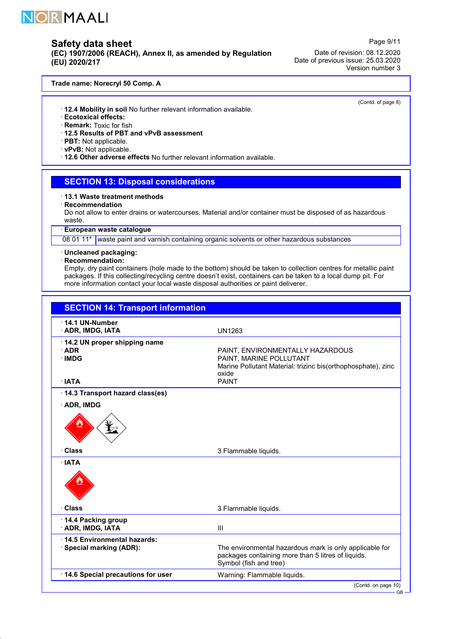

(EC) 1907/2006 (REACH), Annex II, as amended by Regulation (EU) 2020/217

Date of revision: 08.12.2020 Date of previous issue: 25.03.2020 Version number 3

Page 9/11

(Contd. of page 8)

#### Trade name: Norecryl 50 Comp. A

- · 12.4 Mobility in soil No further relevant information available.
- · Ecotoxical effects:
- · Remark: Toxic for fish
- · 12.5 Results of PBT and vPvB assessment
- · PBT: Not applicable.
- · vPvB: Not applicable.
- · 12.6 Other adverse effects No further relevant information available.

### SECTION 13: Disposal considerations

#### · 13.1 Waste treatment methods

· Recommendation

Do not allow to enter drains or watercourses. Material and/or container must be disposed of as hazardous waste.

### · European waste catalogue

08 01 11\* waste paint and varnish containing organic solvents or other hazardous substances

# · Uncleaned packaging:

### · Recommendation:

52.0.1

Empty, dry paint containers (hole made to the bottom) should be taken to collection centres for metallic paint packages. If this collecting/recycling centre doesn't exist, containers can be taken to a local dump pit. For more information contact your local waste disposal authorities or paint deliverer.

| <b>UN1263</b><br>PAINT, ENVIRONMENTALLY HAZARDOUS<br>PAINT, MARINE POLLUTANT<br>Marine Pollutant Material: trizinc bis(orthophosphate), zinc<br>oxide<br>· IATA<br><b>PAINT</b><br>14.3 Transport hazard class(es)<br>3 Flammable liquids.<br>3 Flammable liquids.<br>III<br>The environmental hazardous mark is only applicable for<br>packages containing more than 5 litres of liquids.<br>Symbol (fish and tree)<br>Warning: Flammable liquids. | <b>SECTION 14: Transport information</b>                |  |
|-----------------------------------------------------------------------------------------------------------------------------------------------------------------------------------------------------------------------------------------------------------------------------------------------------------------------------------------------------------------------------------------------------------------------------------------------------|---------------------------------------------------------|--|
|                                                                                                                                                                                                                                                                                                                                                                                                                                                     | 14.1 UN-Number<br><b>ADR, IMDG, IATA</b>                |  |
|                                                                                                                                                                                                                                                                                                                                                                                                                                                     | 14.2 UN proper shipping name<br>· ADR<br><b>IMDG</b>    |  |
|                                                                                                                                                                                                                                                                                                                                                                                                                                                     |                                                         |  |
|                                                                                                                                                                                                                                                                                                                                                                                                                                                     | · ADR, IMDG                                             |  |
|                                                                                                                                                                                                                                                                                                                                                                                                                                                     |                                                         |  |
|                                                                                                                                                                                                                                                                                                                                                                                                                                                     | · Class                                                 |  |
|                                                                                                                                                                                                                                                                                                                                                                                                                                                     | · IATA                                                  |  |
|                                                                                                                                                                                                                                                                                                                                                                                                                                                     | · Class                                                 |  |
|                                                                                                                                                                                                                                                                                                                                                                                                                                                     | 14.4 Packing group<br>· ADR, IMDG, IATA                 |  |
|                                                                                                                                                                                                                                                                                                                                                                                                                                                     | 14.5 Environmental hazards:<br>· Special marking (ADR): |  |
|                                                                                                                                                                                                                                                                                                                                                                                                                                                     | 14.6 Special precautions for user                       |  |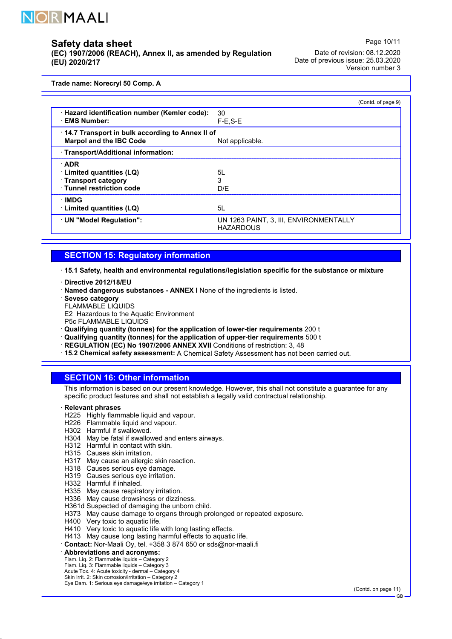

(EC) 1907/2006 (REACH), Annex II, as amended by Regulation (EU) 2020/217

Date of revision: 08.12.2020 Date of previous issue: 25.03.2020 Version number 3

Page 10/11

Trade name: Norecryl 50 Comp. A

|                                                                                   | (Contd. of page 9)                                         |
|-----------------------------------------------------------------------------------|------------------------------------------------------------|
| · Hazard identification number (Kemler code):<br><b>EMS Number:</b>               | 30<br>$F-E$ , $S-E$                                        |
| 14.7 Transport in bulk according to Annex II of<br><b>Marpol and the IBC Code</b> | Not applicable.                                            |
| · Transport/Additional information:                                               |                                                            |
| · ADR                                                                             |                                                            |
| Limited quantities (LQ)                                                           | 51.                                                        |
| Transport category                                                                | 3                                                          |
| Tunnel restriction code                                                           | D/E                                                        |
| <b>IMDG</b>                                                                       |                                                            |
| Limited quantities (LQ)                                                           | 5L                                                         |
| UN "Model Regulation":                                                            | UN 1263 PAINT, 3, III, ENVIRONMENTALLY<br><b>HAZARDOUS</b> |

## SECTION 15: Regulatory information

· 15.1 Safety, health and environmental regulations/legislation specific for the substance or mixture

· Directive 2012/18/EU

· Named dangerous substances - ANNEX I None of the ingredients is listed.

- Seveso category
- FLAMMABLE LIQUIDS

E2 Hazardous to the Aquatic Environment

P5c FLAMMABLE LIQUIDS

· Qualifying quantity (tonnes) for the application of lower-tier requirements 200 t

- · Qualifying quantity (tonnes) for the application of upper-tier requirements 500 t
- · REGULATION (EC) No 1907/2006 ANNEX XVII Conditions of restriction: 3, 48
- · 15.2 Chemical safety assessment: A Chemical Safety Assessment has not been carried out.

### SECTION 16: Other information

This information is based on our present knowledge. However, this shall not constitute a guarantee for any specific product features and shall not establish a legally valid contractual relationship.

#### **Relevant phrases**

- H225 Highly flammable liquid and vapour.
- H226 Flammable liquid and vapour.
- H302 Harmful if swallowed.
- H304 May be fatal if swallowed and enters airways.
- H312 Harmful in contact with skin.
- H315 Causes skin irritation.
- H317 May cause an allergic skin reaction.
- H318 Causes serious eye damage.
- H319 Causes serious eye irritation.
- H332 Harmful if inhaled.
- H335 May cause respiratory irritation.
- H336 May cause drowsiness or dizziness.
- H361d Suspected of damaging the unborn child.
- H373 May cause damage to organs through prolonged or repeated exposure.
- H400 Very toxic to aquatic life.
- H410 Very toxic to aquatic life with long lasting effects.
- H413 May cause long lasting harmful effects to aquatic life.
- · Contact: Nor-Maali Oy, tel. +358 3 874 650 or sds@nor-maali.fi
- · Abbreviations and acronyms:

52.0.1

- 
- Flam. Liq. 2: Flammable liquids Category 2 Flam. Liq. 3: Flammable liquids Category 3 Acute Tox. 4: Acute toxicity dermal Category 4
- Skin Irrit. 2: Skin corrosion/irritation Category 2
- Eye Dam. 1: Serious eye damage/eye irritation Category 1

(Contd. on page 11)

GB